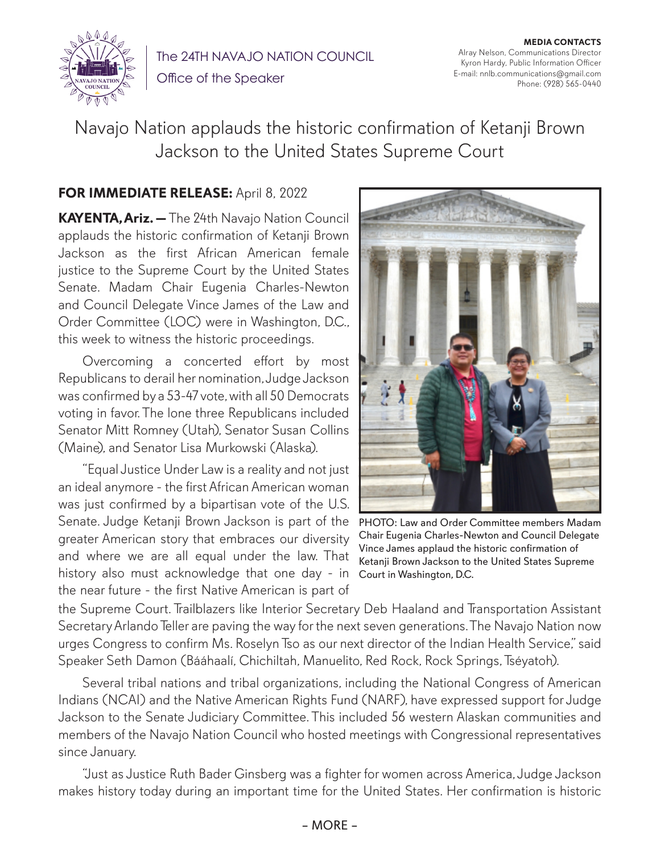

The 24TH NAVAJO NATION COUNCIL

Office of the Speaker

**MEDIA CONTACTS** Alray Nelson, Communications Director Kyron Hardy, Public Information Officer E-mail: nnlb.communications@gmail.com Phone: (928) 565-0440

Navajo Nation applauds the historic confirmation of Ketanji Brown Jackson to the United States Supreme Court

## **FOR IMMEDIATE RELEASE:** April 8, 2022

**KAYENTA, Ariz. —** The 24th Navajo Nation Council applauds the historic confirmation of Ketanji Brown Jackson as the first African American female justice to the Supreme Court by the United States Senate. Madam Chair Eugenia Charles-Newton and Council Delegate Vince James of the Law and Order Committee (LOC) were in Washington, D.C., this week to witness the historic proceedings.

Overcoming a concerted effort by most Republicans to derail her nomination, Judge Jackson was confirmed by a 53-47 vote, with all 50 Democrats voting in favor. The lone three Republicans included Senator Mitt Romney (Utah), Senator Susan Collins (Maine), and Senator Lisa Murkowski (Alaska).

"Equal Justice Under Law is a reality and not just an ideal anymore - the first African American woman was just confirmed by a bipartisan vote of the U.S. Senate. Judge Ketanji Brown Jackson is part of the greater American story that embraces our diversity and where we are all equal under the law. That history also must acknowledge that one day - in the near future - the first Native American is part of



PHOTO: Law and Order Committee members Madam Chair Eugenia Charles-Newton and Council Delegate Vince James applaud the historic confirmation of Ketanji Brown Jackson to the United States Supreme Court in Washington, D.C.

the Supreme Court. Trailblazers like Interior Secretary Deb Haaland and Transportation Assistant Secretary Arlando Teller are paving the way for the next seven generations. The Navajo Nation now urges Congress to confirm Ms. Roselyn Tso as our next director of the Indian Health Service," said Speaker Seth Damon (Bááhaalí, Chichiltah, Manuelito, Red Rock, Rock Springs, Tséyatoh).

Several tribal nations and tribal organizations, including the National Congress of American Indians (NCAI) and the Native American Rights Fund (NARF), have expressed support for Judge Jackson to the Senate Judiciary Committee. This included 56 western Alaskan communities and members of the Navajo Nation Council who hosted meetings with Congressional representatives since January.

"Just as Justice Ruth Bader Ginsberg was a fighter for women across America, Judge Jackson makes history today during an important time for the United States. Her confirmation is historic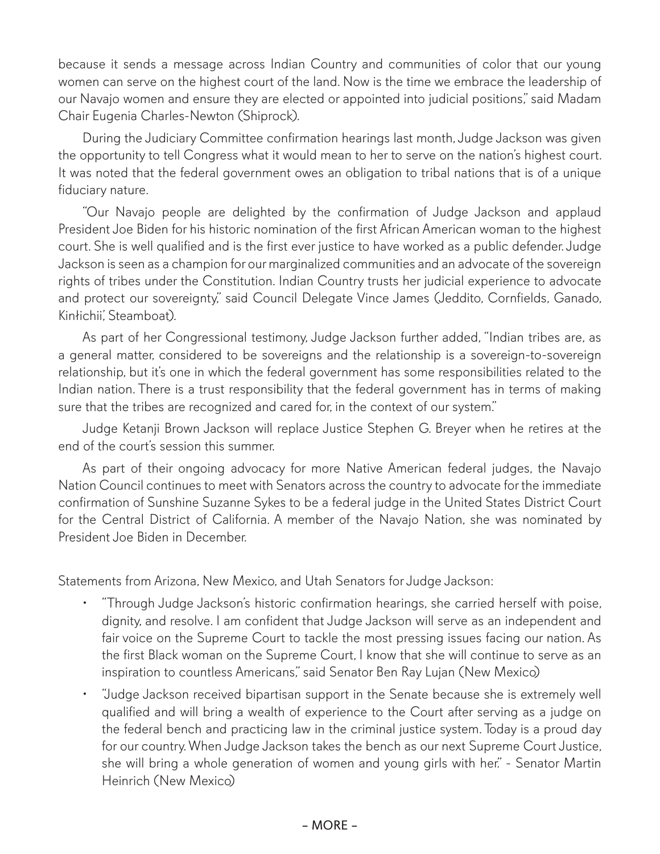because it sends a message across Indian Country and communities of color that our young women can serve on the highest court of the land. Now is the time we embrace the leadership of our Navajo women and ensure they are elected or appointed into judicial positions," said Madam Chair Eugenia Charles-Newton (Shiprock).

During the Judiciary Committee confirmation hearings last month, Judge Jackson was given the opportunity to tell Congress what it would mean to her to serve on the nation's highest court. It was noted that the federal government owes an obligation to tribal nations that is of a unique fiduciary nature.

"Our Navajo people are delighted by the confirmation of Judge Jackson and applaud President Joe Biden for his historic nomination of the first African American woman to the highest court. She is well qualified and is the first ever justice to have worked as a public defender. Judge Jackson is seen as a champion for our marginalized communities and an advocate of the sovereign rights of tribes under the Constitution. Indian Country trusts her judicial experience to advocate and protect our sovereignty," said Council Delegate Vince James (Jeddito, Cornfields, Ganado, Kinłichii', Steamboat).

As part of her Congressional testimony, Judge Jackson further added, "Indian tribes are, as a general matter, considered to be sovereigns and the relationship is a sovereign-to-sovereign relationship, but it's one in which the federal government has some responsibilities related to the Indian nation. There is a trust responsibility that the federal government has in terms of making sure that the tribes are recognized and cared for, in the context of our system."

Judge Ketanji Brown Jackson will replace Justice Stephen G. Breyer when he retires at the end of the court's session this summer.

As part of their ongoing advocacy for more Native American federal judges, the Navajo Nation Council continues to meet with Senators across the country to advocate for the immediate confirmation of Sunshine Suzanne Sykes to be a federal judge in the United States District Court for the Central District of California. A member of the Navajo Nation, she was nominated by President Joe Biden in December.

Statements from Arizona, New Mexico, and Utah Senators for Judge Jackson:

- "Through Judge Jackson's historic confirmation hearings, she carried herself with poise, dignity, and resolve. I am confident that Judge Jackson will serve as an independent and fair voice on the Supreme Court to tackle the most pressing issues facing our nation. As the first Black woman on the Supreme Court, I know that she will continue to serve as an inspiration to countless Americans," said Senator Ben Ray Lujan (New Mexico)
- "Judge Jackson received bipartisan support in the Senate because she is extremely well qualified and will bring a wealth of experience to the Court after serving as a judge on the federal bench and practicing law in the criminal justice system. Today is a proud day for our country. When Judge Jackson takes the bench as our next Supreme Court Justice, she will bring a whole generation of women and young girls with her." - Senator Martin Heinrich (New Mexico)